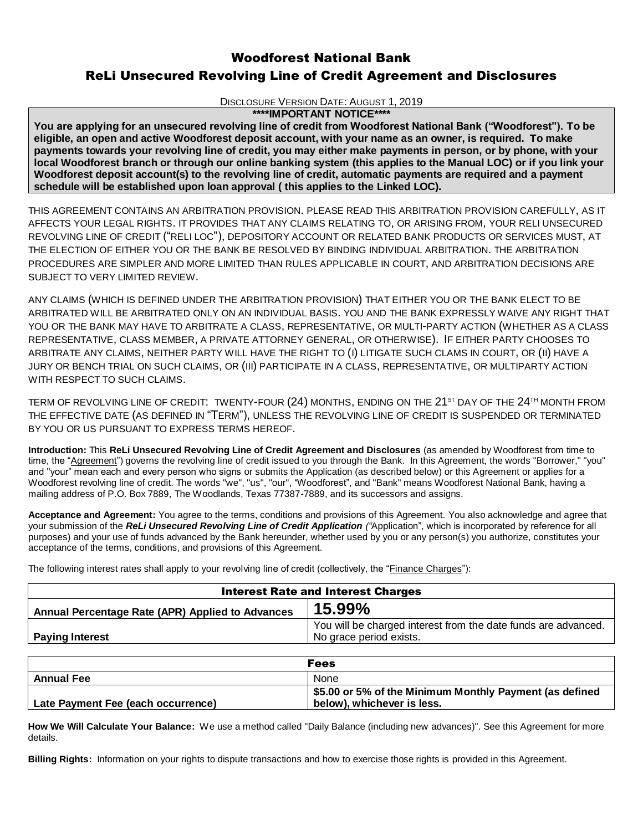# Woodforest National Bank ReLi Unsecured Revolving Line of Credit Agreement and Disclosures

DISCLOSURE VERSION DATE: AUGUST 1, 2019

#### **\*\*\*\*IMPORTANT NOTICE\*\*\*\***

**You are applying for an unsecured revolving line of credit from Woodforest National Bank ("Woodforest"). To be eligible, an open and active Woodforest deposit account, with your name as an owner, is required. To make payments towards your revolving line of credit, you may either make payments in person, or by phone, with your local Woodforest branch or through our online banking system (this applies to the Manual LOC) or if you link your Woodforest deposit account(s) to the revolving line of credit, automatic payments are required and a payment schedule will be established upon loan approval ( this applies to the Linked LOC).** 

THIS AGREEMENT CONTAINS AN ARBITRATION PROVISION. PLEASE READ THIS ARBITRATION PROVISION CAREFULLY, AS IT AFFECTS YOUR LEGAL RIGHTS. IT PROVIDES THAT ANY CLAIMS RELATING TO, OR ARISING FROM, YOUR RELI UNSECURED REVOLVING LINE OF CREDIT ("RELI LOC"), DEPOSITORY ACCOUNT OR RELATED BANK PRODUCTS OR SERVICES MUST, AT THE ELECTION OF EITHER YOU OR THE BANK BE RESOLVED BY BINDING INDIVIDUAL ARBITRATION. THE ARBITRATION PROCEDURES ARE SIMPLER AND MORE LIMITED THAN RULES APPLICABLE IN COURT, AND ARBITRATION DECISIONS ARE SUBJECT TO VERY LIMITED REVIEW.

ANY CLAIMS (WHICH IS DEFINED UNDER THE ARBITRATION PROVISION) THAT EITHER YOU OR THE BANK ELECT TO BE ARBITRATED WILL BE ARBITRATED ONLY ON AN INDIVIDUAL BASIS. YOU AND THE BANK EXPRESSLY WAIVE ANY RIGHT THAT YOU OR THE BANK MAY HAVE TO ARBITRATE A CLASS, REPRESENTATIVE, OR MULTI-PARTY ACTION (WHETHER AS A CLASS REPRESENTATIVE, CLASS MEMBER, A PRIVATE ATTORNEY GENERAL, OR OTHERWISE). IF EITHER PARTY CHOOSES TO ARBITRATE ANY CLAIMS, NEITHER PARTY WILL HAVE THE RIGHT TO (I) LITIGATE SUCH CLAMS IN COURT, OR (II) HAVE A JURY OR BENCH TRIAL ON SUCH CLAIMS, OR (III) PARTICIPATE IN A CLASS, REPRESENTATIVE, OR MULTIPARTY ACTION WITH RESPECT TO SUCH CLAIMS.

TERM OF REVOLVING LINE OF CREDIT: TWENTY-FOUR (24) MONTHS, ENDING ON THE 21<sup>ST</sup> DAY OF THE 24<sup>TH</sup> MONTH FROM THE EFFECTIVE DATE (AS DEFINED IN "TERM"), UNLESS THE REVOLVING LINE OF CREDIT IS SUSPENDED OR TERMINATED BY YOU OR US PURSUANT TO EXPRESS TERMS HEREOF.

**Introduction:** This **ReLi Unsecured Revolving Line of Credit Agreement and Disclosures** (as amended by Woodforest from time to time, the "Agreement") governs the revolving line of credit issued to you through the Bank. In this Agreement, the words "Borrower," "you" and "your" mean each and every person who signs or submits the Application (as described below) or this Agreement or applies for a Woodforest revolving line of credit. The words "we", "us", "our", "Woodforest", and "Bank" means Woodforest National Bank, having a mailing address of P.O. Box 7889, The Woodlands, Texas 77387-7889, and its successors and assigns.

**Acceptance and Agreement:** You agree to the terms, conditions and provisions of this Agreement. You also acknowledge and agree that your submission of the *ReLi Unsecured Revolving Line of Credit Application ("*Application", which is incorporated by reference for all purposes) and your use of funds advanced by the Bank hereunder, whether used by you or any person(s) you authorize, constitutes your acceptance of the terms, conditions, and provisions of this Agreement.

The following interest rates shall apply to your revolving line of credit (collectively, the "Finance Charges"):

| <b>Interest Rate and Interest Charges</b>        |                                                                |  |  |
|--------------------------------------------------|----------------------------------------------------------------|--|--|
| Annual Percentage Rate (APR) Applied to Advances | 15.99%                                                         |  |  |
|                                                  | You will be charged interest from the date funds are advanced. |  |  |
| <b>Paying Interest</b>                           | No grace period exists.                                        |  |  |

| <b>Fees</b>                        |                                                         |  |
|------------------------------------|---------------------------------------------------------|--|
| <b>Annual Fee</b>                  | None                                                    |  |
|                                    | \$5.00 or 5% of the Minimum Monthly Payment (as defined |  |
| Late Payment Fee (each occurrence) | below), whichever is less.                              |  |

**How We Will Calculate Your Balance:** We use a method called "Daily Balance (including new advances)". See this Agreement for more details.

**Billing Rights:** Information on your rights to dispute transactions and how to exercise those rights is provided in this Agreement.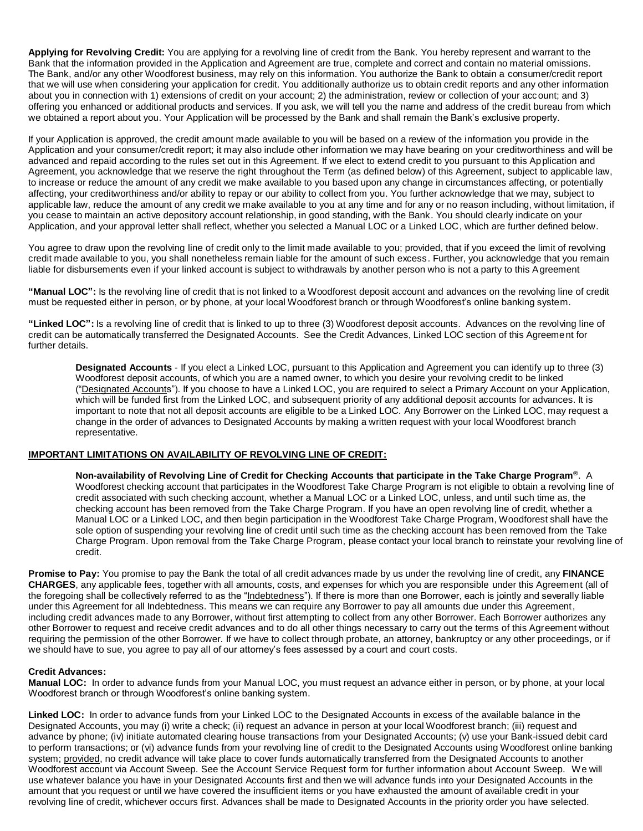**Applying for Revolving Credit:** You are applying for a revolving line of credit from the Bank. You hereby represent and warrant to the Bank that the information provided in the Application and Agreement are true, complete and correct and contain no material omissions. The Bank, and/or any other Woodforest business, may rely on this information. You authorize the Bank to obtain a consumer/credit report that we will use when considering your application for credit. You additionally authorize us to obtain credit reports and any other information about you in connection with 1) extensions of credit on your account; 2) the administration, review or collection of your account; and 3) offering you enhanced or additional products and services. If you ask, we will tell you the name and address of the credit bureau from which we obtained a report about you. Your Application will be processed by the Bank and shall remain the Bank's exclusive property.

If your Application is approved, the credit amount made available to you will be based on a review of the information you provide in the Application and your consumer/credit report; it may also include other information we may have bearing on your creditworthiness and will be advanced and repaid according to the rules set out in this Agreement. If we elect to extend credit to you pursuant to this Application and Agreement, you acknowledge that we reserve the right throughout the Term (as defined below) of this Agreement, subject to applicable law, to increase or reduce the amount of any credit we make available to you based upon any change in circumstances affecting, or potentially affecting, your creditworthiness and/or ability to repay or our ability to collect from you. You further acknowledge that we may, subject to applicable law, reduce the amount of any credit we make available to you at any time and for any or no reason including, without limitation, if you cease to maintain an active depository account relationship, in good standing, with the Bank. You should clearly indicate on your Application, and your approval letter shall reflect, whether you selected a Manual LOC or a Linked LOC, which are further defined below.

You agree to draw upon the revolving line of credit only to the limit made available to you; provided, that if you exceed the limit of revolving credit made available to you, you shall nonetheless remain liable for the amount of such excess. Further, you acknowledge that you remain liable for disbursements even if your linked account is subject to withdrawals by another person who is not a party to this Agreement

**"Manual LOC":** Is the revolving line of credit that is not linked to a Woodforest deposit account and advances on the revolving line of credit must be requested either in person, or by phone, at your local Woodforest branch or through Woodforest's online banking system.

**"Linked LOC":** Is a revolving line of credit that is linked to up to three (3) Woodforest deposit accounts. Advances on the revolving line of credit can be automatically transferred the Designated Accounts. See the Credit Advances, Linked LOC section of this Agreement for further details.

**Designated Accounts** - If you elect a Linked LOC, pursuant to this Application and Agreement you can identify up to three (3) Woodforest deposit accounts, of which you are a named owner, to which you desire your revolving credit to be linked ("Designated Accounts"). If you choose to have a Linked LOC, you are required to select a Primary Account on your Application, which will be funded first from the Linked LOC, and subsequent priority of any additional deposit accounts for advances. It is important to note that not all deposit accounts are eligible to be a Linked LOC. Any Borrower on the Linked LOC, may request a change in the order of advances to Designated Accounts by making a written request with your local Woodforest branch representative.

#### **IMPORTANT LIMITATIONS ON AVAILABILITY OF REVOLVING LINE OF CREDIT:**

**Non-availability of Revolving Line of Credit for Checking Accounts that participate in the Take Charge Program®** . A Woodforest checking account that participates in the Woodforest Take Charge Program is not eligible to obtain a revolving line of credit associated with such checking account, whether a Manual LOC or a Linked LOC, unless, and until such time as, the checking account has been removed from the Take Charge Program. If you have an open revolving line of credit, whether a Manual LOC or a Linked LOC, and then begin participation in the Woodforest Take Charge Program, Woodforest shall have the sole option of suspending your revolving line of credit until such time as the checking account has been removed from the Take Charge Program. Upon removal from the Take Charge Program, please contact your local branch to reinstate your revolving line of credit.

**Promise to Pay:** You promise to pay the Bank the total of all credit advances made by us under the revolving line of credit, any **FINANCE CHARGES**, any applicable fees, together with all amounts, costs, and expenses for which you are responsible under this Agreement (all of the foregoing shall be collectively referred to as the "Indebtedness"). If there is more than one Borrower, each is jointly and severally liable under this Agreement for all Indebtedness. This means we can require any Borrower to pay all amounts due under this Agreement, including credit advances made to any Borrower, without first attempting to collect from any other Borrower. Each Borrower authorizes any other Borrower to request and receive credit advances and to do all other things necessary to carry out the terms of this Agreement without requiring the permission of the other Borrower. If we have to collect through probate, an attorney, bankruptcy or any other proceedings, or if we should have to sue, you agree to pay all of our attorney's fees assessed by a court and court costs.

#### **Credit Advances:**

**Manual LOC:** In order to advance funds from your Manual LOC, you must request an advance either in person, or by phone, at your local Woodforest branch or through Woodforest's online banking system.

**Linked LOC:** In order to advance funds from your Linked LOC to the Designated Accounts in excess of the available balance in the Designated Accounts, you may (i) write a check; (ii) request an advance in person at your local Woodforest branch; (iii) request and advance by phone; (iv) initiate automated clearing house transactions from your Designated Accounts; (v) use your Bank-issued debit card to perform transactions; or (vi) advance funds from your revolving line of credit to the Designated Accounts using Woodforest online banking system; provided, no credit advance will take place to cover funds automatically transferred from the Designated Accounts to another Woodforest account via Account Sweep. See the Account Service Request form for further information about Account Sweep. We will use whatever balance you have in your Designated Accounts first and then we will advance funds into your Designated Accounts in the amount that you request or until we have covered the insufficient items or you have exhausted the amount of available credit in your revolving line of credit, whichever occurs first. Advances shall be made to Designated Accounts in the priority order you have selected.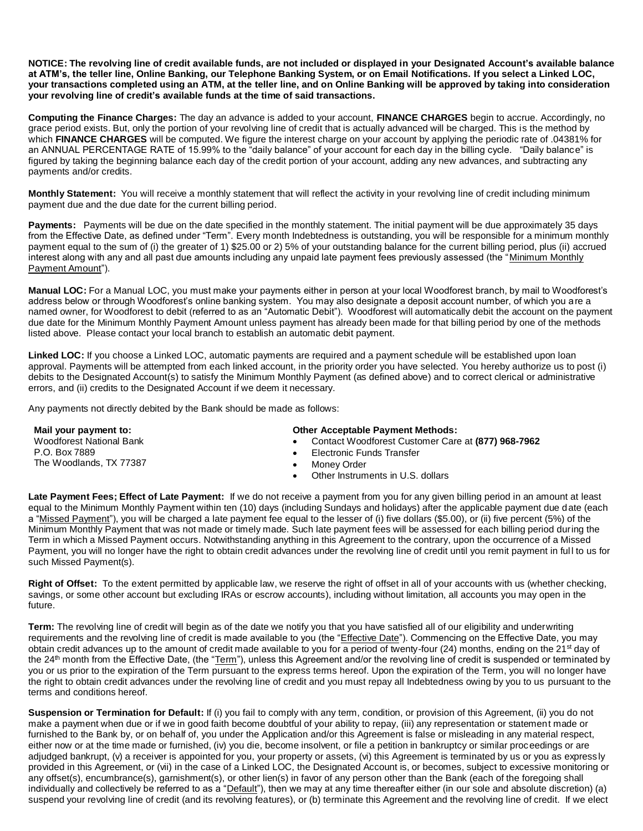**NOTICE: The revolving line of credit available funds, are not included or displayed in your Designated Account's available balance at ATM's, the teller line, Online Banking, our Telephone Banking System, or on Email Notifications. If you select a Linked LOC, your transactions completed using an ATM, at the teller line, and on Online Banking will be approved by taking into consideration your revolving line of credit's available funds at the time of said transactions.**

**Computing the Finance Charges:** The day an advance is added to your account, **FINANCE CHARGES** begin to accrue. Accordingly, no grace period exists. But, only the portion of your revolving line of credit that is actually advanced will be charged. This is the method by which **FINANCE CHARGES** will be computed. We figure the interest charge on your account by applying the periodic rate of .04381% for an ANNUAL PERCENTAGE RATE of 15.99% to the "daily balance" of your account for each day in the billing cycle. "Daily balance" is figured by taking the beginning balance each day of the credit portion of your account, adding any new advances, and subtracting any payments and/or credits.

**Monthly Statement:** You will receive a monthly statement that will reflect the activity in your revolving line of credit including minimum payment due and the due date for the current billing period.

**Payments:** Payments will be due on the date specified in the monthly statement. The initial payment will be due approximately 35 days from the Effective Date, as defined under "Term". Every month Indebtedness is outstanding, you will be responsible for a minimum monthly payment equal to the sum of (i) the greater of 1) \$25.00 or 2) 5% of your outstanding balance for the current billing period, plus (ii) accrued interest along with any and all past due amounts including any unpaid late payment fees previously assessed (the "Minimum Monthly Payment Amount").

**Manual LOC:** For a Manual LOC, you must make your payments either in person at your local Woodforest branch, by mail to Woodforest's address below or through Woodforest's online banking system. You may also designate a deposit account number, of which you are a named owner, for Woodforest to debit (referred to as an "Automatic Debit"). Woodforest will automatically debit the account on the payment due date for the Minimum Monthly Payment Amount unless payment has already been made for that billing period by one of the methods listed above. Please contact your local branch to establish an automatic debit payment.

**Linked LOC:** If you choose a Linked LOC, automatic payments are required and a payment schedule will be established upon loan approval. Payments will be attempted from each linked account, in the priority order you have selected. You hereby authorize us to post (i) debits to the Designated Account(s) to satisfy the Minimum Monthly Payment (as defined above) and to correct clerical or administrative errors, and (ii) credits to the Designated Account if we deem it necessary.

Any payments not directly debited by the Bank should be made as follows:

| Mail your payment to:                    | <b>Other Acceptable Payment Methods:</b> |                                                    |  |
|------------------------------------------|------------------------------------------|----------------------------------------------------|--|
| Woodforest National Bank                 |                                          | Contact Woodforest Customer Care at (877) 968-7962 |  |
| P.O. Box 7889<br>The Woodlands, TX 77387 | Electronic Funds Transfer                |                                                    |  |
|                                          | Monev Order                              |                                                    |  |
|                                          | Other Instruments in U.S. dollars        |                                                    |  |
|                                          |                                          |                                                    |  |

**Late Payment Fees; Effect of Late Payment:** If we do not receive a payment from you for any given billing period in an amount at least equal to the Minimum Monthly Payment within ten (10) days (including Sundays and holidays) after the applicable payment due date (each a "Missed Payment"), you will be charged a late payment fee equal to the lesser of (i) five dollars (\$5.00), or (ii) five percent (5%) of the Minimum Monthly Payment that was not made or timely made. Such late payment fees will be assessed for each billing period during the Term in which a Missed Payment occurs. Notwithstanding anything in this Agreement to the contrary, upon the occurrence of a Missed Payment, you will no longer have the right to obtain credit advances under the revolving line of credit until you remit payment in ful l to us for such Missed Payment(s).

**Right of Offset:** To the extent permitted by applicable law, we reserve the right of offset in all of your accounts with us (whether checking, savings, or some other account but excluding IRAs or escrow accounts), including without limitation, all accounts you may open in the future.

**Term:** The revolving line of credit will begin as of the date we notify you that you have satisfied all of our eligibility and underwriting requirements and the revolving line of credit is made available to you (the "Effective Date"). Commencing on the Effective Date, you may obtain credit advances up to the amount of credit made available to you for a period of twenty-four (24) months, ending on the 21<sup>st</sup> day of the 24<sup>th</sup> month from the Effective Date, (the "Term"), unless this Agreement and/or the revolving line of credit is suspended or terminated by you or us prior to the expiration of the Term pursuant to the express terms hereof. Upon the expiration of the Term, you will no longer have the right to obtain credit advances under the revolving line of credit and you must repay all Indebtedness owing by you to us pursuant to the terms and conditions hereof.

**Suspension or Termination for Default:** If (i) you fail to comply with any term, condition, or provision of this Agreement, (ii) you do not make a payment when due or if we in good faith become doubtful of your ability to repay, (iii) any representation or statement made or furnished to the Bank by, or on behalf of, you under the Application and/or this Agreement is false or misleading in any material respect, either now or at the time made or furnished, (iv) you die, become insolvent, or file a petition in bankruptcy or similar proceedings or are adjudged bankrupt, (v) a receiver is appointed for you, your property or assets, (vi) this Agreement is terminated by us or you as expressly provided in this Agreement, or (vii) in the case of a Linked LOC, the Designated Account is, or becomes, subject to excessive monitoring or any offset(s), encumbrance(s), garnishment(s), or other lien(s) in favor of any person other than the Bank (each of the foregoing shall individually and collectively be referred to as a "Default"), then we may at any time thereafter either (in our sole and absolute discretion) (a) suspend your revolving line of credit (and its revolving features), or (b) terminate this Agreement and the revolving line of credit. If we elect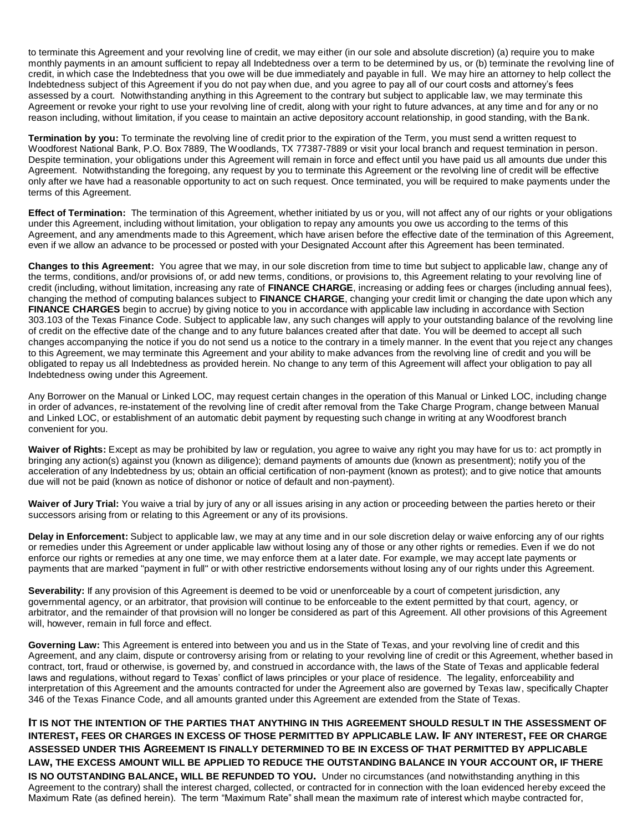to terminate this Agreement and your revolving line of credit, we may either (in our sole and absolute discretion) (a) require you to make monthly payments in an amount sufficient to repay all Indebtedness over a term to be determined by us, or (b) terminate the revolving line of credit, in which case the Indebtedness that you owe will be due immediately and payable in full. We may hire an attorney to help collect the Indebtedness subject of this Agreement if you do not pay when due, and you agree to pay all of our court costs and attorney's fees assessed by a court. Notwithstanding anything in this Agreement to the contrary but subject to applicable law, we may terminate this Agreement or revoke your right to use your revolving line of credit, along with your right to future advances, at any time and for any or no reason including, without limitation, if you cease to maintain an active depository account relationship, in good standing, with the Bank.

**Termination by you:** To terminate the revolving line of credit prior to the expiration of the Term, you must send a written request to Woodforest National Bank, P.O. Box 7889, The Woodlands, TX 77387-7889 or visit your local branch and request termination in person. Despite termination, your obligations under this Agreement will remain in force and effect until you have paid us all amounts due under this Agreement. Notwithstanding the foregoing, any request by you to terminate this Agreement or the revolving line of credit will be effective only after we have had a reasonable opportunity to act on such request. Once terminated, you will be required to make payments under the terms of this Agreement.

**Effect of Termination:** The termination of this Agreement, whether initiated by us or you, will not affect any of our rights or your obligations under this Agreement, including without limitation, your obligation to repay any amounts you owe us according to the terms of this Agreement, and any amendments made to this Agreement, which have arisen before the effective date of the termination of this Agreement, even if we allow an advance to be processed or posted with your Designated Account after this Agreement has been terminated.

**Changes to this Agreement:** You agree that we may, in our sole discretion from time to time but subject to applicable law, change any of the terms, conditions, and/or provisions of, or add new terms, conditions, or provisions to, this Agreement relating to your revolving line of credit (including, without limitation, increasing any rate of **FINANCE CHARGE**, increasing or adding fees or charges (including annual fees), changing the method of computing balances subject to **FINANCE CHARGE**, changing your credit limit or changing the date upon which any **FINANCE CHARGES** begin to accrue) by giving notice to you in accordance with applicable law including in accordance with Section 303.103 of the Texas Finance Code. Subject to applicable law, any such changes will apply to your outstanding balance of the revolving line of credit on the effective date of the change and to any future balances created after that date. You will be deemed to accept all such changes accompanying the notice if you do not send us a notice to the contrary in a timely manner. In the event that you reject any changes to this Agreement, we may terminate this Agreement and your ability to make advances from the revolving line of credit and you will be obligated to repay us all Indebtedness as provided herein. No change to any term of this Agreement will affect your obligation to pay all Indebtedness owing under this Agreement.

Any Borrower on the Manual or Linked LOC, may request certain changes in the operation of this Manual or Linked LOC, including change in order of advances, re-instatement of the revolving line of credit after removal from the Take Charge Program, change between Manual and Linked LOC, or establishment of an automatic debit payment by requesting such change in writing at any Woodforest branch convenient for you.

**Waiver of Rights:** Except as may be prohibited by law or regulation, you agree to waive any right you may have for us to: act promptly in bringing any action(s) against you (known as diligence); demand payments of amounts due (known as presentment); notify you of the acceleration of any Indebtedness by us; obtain an official certification of non-payment (known as protest); and to give notice that amounts due will not be paid (known as notice of dishonor or notice of default and non-payment).

**Waiver of Jury Trial:** You waive a trial by jury of any or all issues arising in any action or proceeding between the parties hereto or their successors arising from or relating to this Agreement or any of its provisions.

**Delay in Enforcement:** Subject to applicable law, we may at any time and in our sole discretion delay or waive enforcing any of our rights or remedies under this Agreement or under applicable law without losing any of those or any other rights or remedies. Even if we do not enforce our rights or remedies at any one time, we may enforce them at a later date. For example, we may accept late payments or payments that are marked "payment in full" or with other restrictive endorsements without losing any of our rights under this Agreement.

**Severability:** If any provision of this Agreement is deemed to be void or unenforceable by a court of competent jurisdiction, any governmental agency, or an arbitrator, that provision will continue to be enforceable to the extent permitted by that court, agency, or arbitrator, and the remainder of that provision will no longer be considered as part of this Agreement. All other provisions of this Agreement will, however, remain in full force and effect.

**Governing Law:** This Agreement is entered into between you and us in the State of Texas, and your revolving line of credit and this Agreement, and any claim, dispute or controversy arising from or relating to your revolving line of credit or this Agreement, whether based in contract, tort, fraud or otherwise, is governed by, and construed in accordance with, the laws of the State of Texas and applicable federal laws and regulations, without regard to Texas' conflict of laws principles or your place of residence. The legality, enforceability and interpretation of this Agreement and the amounts contracted for under the Agreement also are governed by Texas law, specifically Chapter 346 of the Texas Finance Code, and all amounts granted under this Agreement are extended from the State of Texas.

## **IT IS NOT THE INTENTION OF THE PARTIES THAT ANYTHING IN THIS AGREEMENT SHOULD RESULT IN THE ASSESSMENT OF INTEREST, FEES OR CHARGES IN EXCESS OF THOSE PERMITTED BY APPLICABLE LAW. IF ANY INTEREST, FEE OR CHARGE ASSESSED UNDER THIS AGREEMENT IS FINALLY DETERMINED TO BE IN EXCESS OF THAT PERMITTED BY APPLICABLE LAW, THE EXCESS AMOUNT WILL BE APPLIED TO REDUCE THE OUTSTANDING BALANCE IN YOUR ACCOUNT OR, IF THERE**

**IS NO OUTSTANDING BALANCE, WILL BE REFUNDED TO YOU.** Under no circumstances (and notwithstanding anything in this Agreement to the contrary) shall the interest charged, collected, or contracted for in connection with the loan evidenced hereby exceed the Maximum Rate (as defined herein). The term "Maximum Rate" shall mean the maximum rate of interest which maybe contracted for,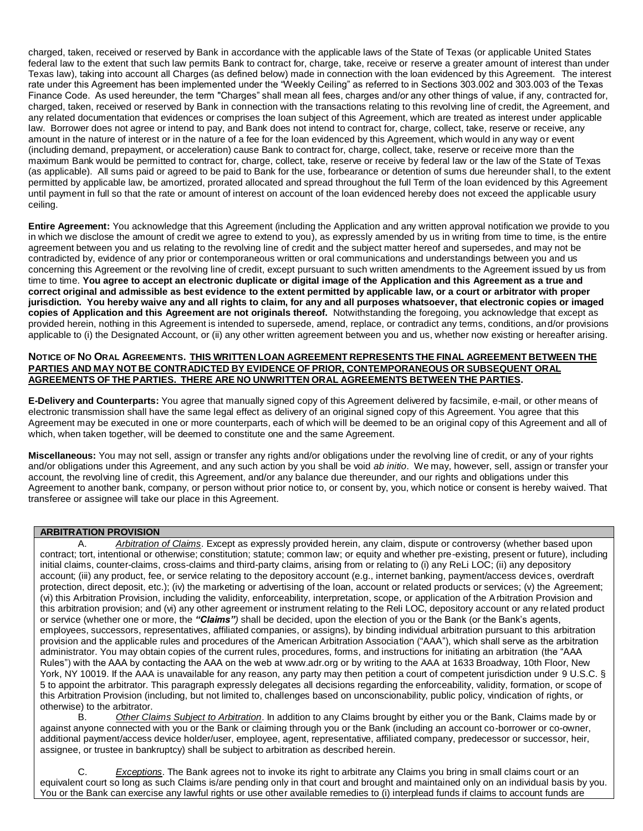charged, taken, received or reserved by Bank in accordance with the applicable laws of the State of Texas (or applicable United States federal law to the extent that such law permits Bank to contract for, charge, take, receive or reserve a greater amount of interest than under Texas law), taking into account all Charges (as defined below) made in connection with the loan evidenced by this Agreement. The interest rate under this Agreement has been implemented under the "Weekly Ceiling" as referred to in Sections 303.002 and 303.003 of the Texas Finance Code. As used hereunder, the term "Charges" shall mean all fees, charges and/or any other things of value, if any, contracted for, charged, taken, received or reserved by Bank in connection with the transactions relating to this revolving line of credit, the Agreement, and any related documentation that evidences or comprises the loan subject of this Agreement, which are treated as interest under applicable law. Borrower does not agree or intend to pay, and Bank does not intend to contract for, charge, collect, take, reserve or receive, any amount in the nature of interest or in the nature of a fee for the loan evidenced by this Agreement, which would in any way or event (including demand, prepayment, or acceleration) cause Bank to contract for, charge, collect, take, reserve or receive more than the maximum Bank would be permitted to contract for, charge, collect, take, reserve or receive by federal law or the law of the State of Texas (as applicable). All sums paid or agreed to be paid to Bank for the use, forbearance or detention of sums due hereunder shal l, to the extent permitted by applicable law, be amortized, prorated allocated and spread throughout the full Term of the loan evidenced by this Agreement until payment in full so that the rate or amount of interest on account of the loan evidenced hereby does not exceed the applicable usury ceiling.

**Entire Agreement:** You acknowledge that this Agreement (including the Application and any written approval notification we provide to you in which we disclose the amount of credit we agree to extend to you), as expressly amended by us in writing from time to time, is the entire agreement between you and us relating to the revolving line of credit and the subject matter hereof and supersedes, and may not be contradicted by, evidence of any prior or contemporaneous written or oral communications and understandings between you and us concerning this Agreement or the revolving line of credit, except pursuant to such written amendments to the Agreement issued by us from time to time. **You agree to accept an electronic duplicate or digital image of the Application and this Agreement as a true and correct original and admissible as best evidence to the extent permitted by applicable law, or a court or arbitrator with proper jurisdiction. You hereby waive any and all rights to claim, for any and all purposes whatsoever, that electronic copies or imaged copies of Application and this Agreement are not originals thereof.** Notwithstanding the foregoing, you acknowledge that except as provided herein, nothing in this Agreement is intended to supersede, amend, replace, or contradict any terms, conditions, and/or provisions applicable to (i) the Designated Account, or (ii) any other written agreement between you and us, whether now existing or hereafter arising.

#### NOTICE OF NO ORAL AGREEMENTS. THIS WRITTEN LOAN AGREEMENT REPRESENTS THE FINAL AGREEMENT BETWEEN THE **PARTIES AND MAY NOT BE CONTRADICTED BY EVIDENCE OF PRIOR, CONTEMPORANEOUS OR SUBSEQUENT ORAL AGREEMENTS OF THE PARTIES. THERE ARE NO UNWRITTEN ORAL AGREEMENTS BETWEEN THE PARTIES.**

**E-Delivery and Counterparts:** You agree that manually signed copy of this Agreement delivered by facsimile, e-mail, or other means of electronic transmission shall have the same legal effect as delivery of an original signed copy of this Agreement. You agree that this Agreement may be executed in one or more counterparts, each of which will be deemed to be an original copy of this Agreement and all of which, when taken together, will be deemed to constitute one and the same Agreement.

**Miscellaneous:** You may not sell, assign or transfer any rights and/or obligations under the revolving line of credit, or any of your rights and/or obligations under this Agreement, and any such action by you shall be void *ab initio*. We may, however, sell, assign or transfer your account, the revolving line of credit, this Agreement, and/or any balance due thereunder, and our rights and obligations under this Agreement to another bank, company, or person without prior notice to, or consent by, you, which notice or consent is hereby waived. That transferee or assignee will take our place in this Agreement.

## **ARBITRATION PROVISION**

A. *Arbitration of Claims*. Except as expressly provided herein, any claim, dispute or controversy (whether based upon contract; tort, intentional or otherwise; constitution; statute; common law; or equity and whether pre-existing, present or future), including initial claims, counter-claims, cross-claims and third-party claims, arising from or relating to (i) any ReLi LOC; (ii) any depository account; (iii) any product, fee, or service relating to the depository account (e.g., internet banking, payment/access devices, overdraft protection, direct deposit, etc.); (iv) the marketing or advertising of the loan, account or related products or services; (v) the Agreement; (vi) this Arbitration Provision, including the validity, enforceability, interpretation, scope, or application of the Arbitration Provision and this arbitration provision; and (vi) any other agreement or instrument relating to the Reli LOC, depository account or any related product or service (whether one or more, the *"Claims")* shall be decided, upon the election of you or the Bank (or the Bank's agents, employees, successors, representatives, affiliated companies, or assigns), by binding individual arbitration pursuant to this arbitration provision and the applicable rules and procedures of the American Arbitration Association ("AAA"), which shall serve as the arbitration administrator. You may obtain copies of the current rules, procedures, forms, and instructions for initiating an arbitration (the "AAA Rules") with the AAA by contacting the AAA on the web at www.adr.org or by writing to the AAA at 1633 Broadway, 10th Floor, New York, NY 10019. If the AAA is unavailable for any reason, any party may then petition a court of competent jurisdiction under 9 U.S.C. § 5 to appoint the arbitrator. This paragraph expressly delegates all decisions regarding the enforceability, validity, formation, or scope of this Arbitration Provision (including, but not limited to, challenges based on unconscionability, public policy, vindication of rights, or otherwise) to the arbitrator.

B. *Other Claims Subject to Arbitration*. In addition to any Claims brought by either you or the Bank, Claims made by or against anyone connected with you or the Bank or claiming through you or the Bank (including an account co-borrower or co-owner, additional payment/access device holder/user, employee, agent, representative, affiliated company, predecessor or successor, heir, assignee, or trustee in bankruptcy) shall be subject to arbitration as described herein.

**Exceptions**. The Bank agrees not to invoke its right to arbitrate any Claims you bring in small claims court or an equivalent court so long as such Claims is/are pending only in that court and brought and maintained only on an individual basis by you. You or the Bank can exercise any lawful rights or use other available remedies to (i) interplead funds if claims to account funds are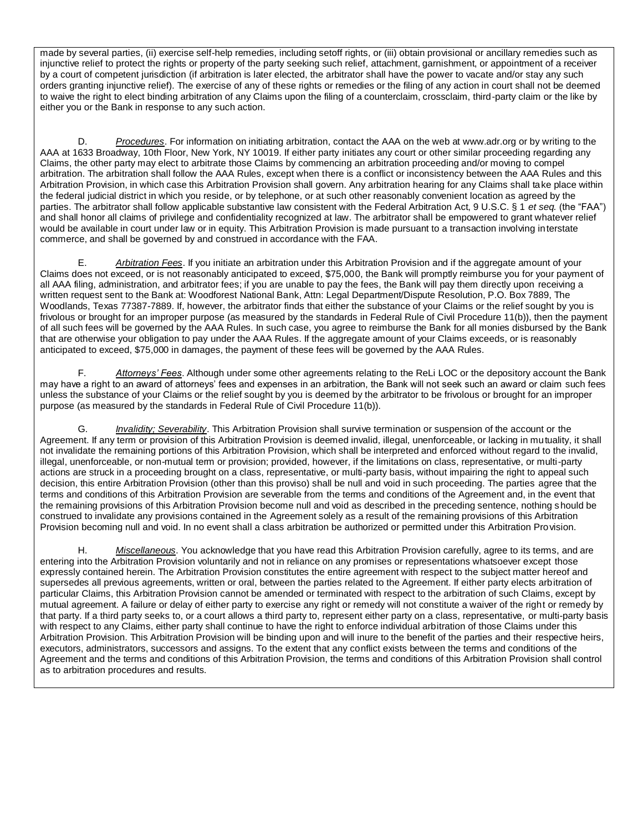made by several parties, (ii) exercise self-help remedies, including setoff rights, or (iii) obtain provisional or ancillary remedies such as injunctive relief to protect the rights or property of the party seeking such relief, attachment, garnishment, or appointment of a receiver by a court of competent jurisdiction (if arbitration is later elected, the arbitrator shall have the power to vacate and/or stay any such orders granting injunctive relief). The exercise of any of these rights or remedies or the filing of any action in court shall not be deemed to waive the right to elect binding arbitration of any Claims upon the filing of a counterclaim, crossclaim, third-party claim or the like by either you or the Bank in response to any such action.

D. *Procedures*. For information on initiating arbitration, contact the AAA on the web at www.adr.org or by writing to the AAA at 1633 Broadway, 10th Floor, New York, NY 10019. If either party initiates any court or other similar proceeding regarding any Claims, the other party may elect to arbitrate those Claims by commencing an arbitration proceeding and/or moving to compel arbitration. The arbitration shall follow the AAA Rules, except when there is a conflict or inconsistency between the AAA Rules and this Arbitration Provision, in which case this Arbitration Provision shall govern. Any arbitration hearing for any Claims shall take place within the federal judicial district in which you reside, or by telephone, or at such other reasonably convenient location as agreed by the parties. The arbitrator shall follow applicable substantive law consistent with the Federal Arbitration Act, 9 U.S.C. § 1 *et seq.* (the "FAA") and shall honor all claims of privilege and confidentiality recognized at law. The arbitrator shall be empowered to grant whatever relief would be available in court under law or in equity. This Arbitration Provision is made pursuant to a transaction involving interstate commerce, and shall be governed by and construed in accordance with the FAA.

E. *Arbitration Fees*. If you initiate an arbitration under this Arbitration Provision and if the aggregate amount of your Claims does not exceed, or is not reasonably anticipated to exceed, \$75,000, the Bank will promptly reimburse you for your payment of all AAA filing, administration, and arbitrator fees; if you are unable to pay the fees, the Bank will pay them directly upon receiving a written request sent to the Bank at: Woodforest National Bank, Attn: Legal Department/Dispute Resolution, P.O. Box 7889, The Woodlands, Texas 77387-7889. If, however, the arbitrator finds that either the substance of your Claims or the relief sought by you is frivolous or brought for an improper purpose (as measured by the standards in Federal Rule of Civil Procedure 11(b)), then the payment of all such fees will be governed by the AAA Rules. In such case, you agree to reimburse the Bank for all monies disbursed by the Bank that are otherwise your obligation to pay under the AAA Rules. If the aggregate amount of your Claims exceeds, or is reasonably anticipated to exceed, \$75,000 in damages, the payment of these fees will be governed by the AAA Rules.

F. *Attorneys' Fees*. Although under some other agreements relating to the ReLi LOC or the depository account the Bank may have a right to an award of attorneys' fees and expenses in an arbitration, the Bank will not seek such an award or claim such fees unless the substance of your Claims or the relief sought by you is deemed by the arbitrator to be frivolous or brought for an improper purpose (as measured by the standards in Federal Rule of Civil Procedure 11(b)).

G. *Invalidity; Severability*. This Arbitration Provision shall survive termination or suspension of the account or the Agreement. If any term or provision of this Arbitration Provision is deemed invalid, illegal, unenforceable, or lacking in mutuality, it shall not invalidate the remaining portions of this Arbitration Provision, which shall be interpreted and enforced without regard to the invalid, illegal, unenforceable, or non-mutual term or provision; provided, however, if the limitations on class, representative, or multi-party actions are struck in a proceeding brought on a class, representative, or multi-party basis, without impairing the right to appeal such decision, this entire Arbitration Provision (other than this proviso) shall be null and void in such proceeding. The parties agree that the terms and conditions of this Arbitration Provision are severable from the terms and conditions of the Agreement and, in the event that the remaining provisions of this Arbitration Provision become null and void as described in the preceding sentence, nothing should be construed to invalidate any provisions contained in the Agreement solely as a result of the remaining provisions of this Arbitration Provision becoming null and void. In no event shall a class arbitration be authorized or permitted under this Arbitration Provision.

H. *Miscellaneous*. You acknowledge that you have read this Arbitration Provision carefully, agree to its terms, and are entering into the Arbitration Provision voluntarily and not in reliance on any promises or representations whatsoever except those expressly contained herein. The Arbitration Provision constitutes the entire agreement with respect to the subject matter hereof and supersedes all previous agreements, written or oral, between the parties related to the Agreement. If either party elects arbitration of particular Claims, this Arbitration Provision cannot be amended or terminated with respect to the arbitration of such Claims, except by mutual agreement. A failure or delay of either party to exercise any right or remedy will not constitute a waiver of the right or remedy by that party. If a third party seeks to, or a court allows a third party to, represent either party on a class, representative, or multi-party basis with respect to any Claims, either party shall continue to have the right to enforce individual arbitration of those Claims under this Arbitration Provision. This Arbitration Provision will be binding upon and will inure to the benefit of the parties and their respective heirs, executors, administrators, successors and assigns. To the extent that any conflict exists between the terms and conditions of the Agreement and the terms and conditions of this Arbitration Provision, the terms and conditions of this Arbitration Provision shall control as to arbitration procedures and results.